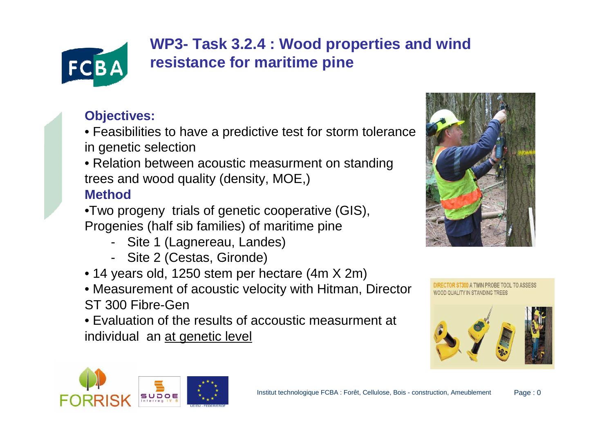

## **WP3- Task 3.2.4 : Wood properties and windresistance for maritime pine**

## **Objectives:**

- Feasibilities to have a predictive test for storm tolerance in genetic selection
- Relation between acoustic measurment on standing trees and wood quality (density, MOE,)**Method**
- •Two progeny trials of genetic cooperative (GIS), Progenies (half sib families) of maritime pine
	- Site 1 (Lagnereau, Landes)
	- Site 2 (Cestas, Gironde)
- 14 years old, 1250 stem per hectare (4m X 2m)
- Measurement of acoustic velocity with Hitman, Director ST 300 Fibre-Gen
- Evaluation of the results of accoustic measurment at individual an at genetic level





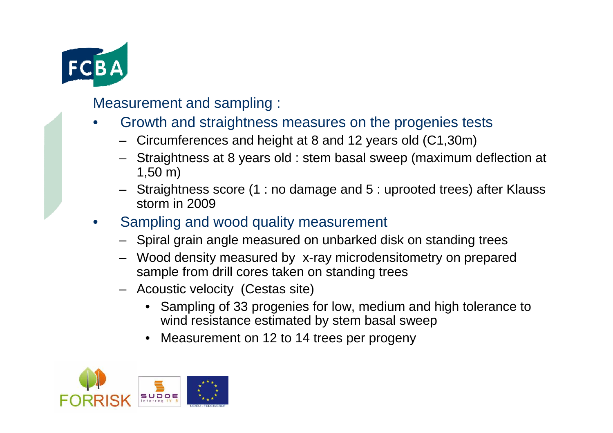

Measurement and sampling :

- • Growth and straightness measures on the progenies tests
	- Circumferences and height at 8 and 12 years old (C1,30m)
	- Straightness at 8 years old : stem basal sweep (maximum deflection at 1,50 m)
	- Straightness score (1 : no damage and 5 : uprooted trees) after Klaussstorm in 2009
- • Sampling and wood quality measurement
	- Spiral grain angle measured on unbarked disk on standing trees
	- Wood density measured by x-ray microdensitometry on prepared sample from drill cores taken on standing trees
	- Acoustic velocity (Cestas site)
		- Sampling of 33 progenies for low, medium and high tolerance to wind resistance estimated by stem basal sweep
		- •Measurement on 12 to 14 trees per progeny

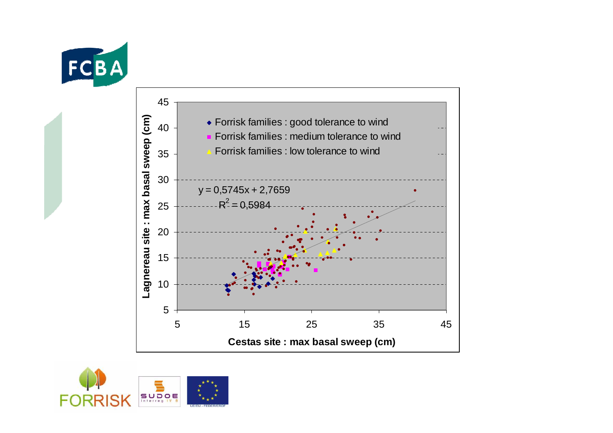



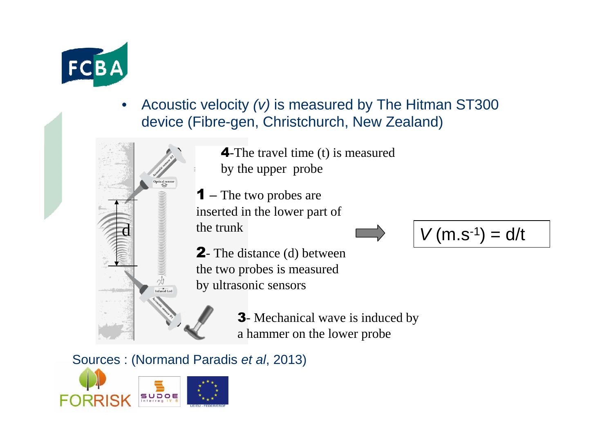

• Acoustic velocity (v) is measured by The Hitman ST300 device (Fibre-gen, Christchurch, New Zealand)



4-The travel time (t) is measured by the upper probe

 $\bullet$  – The two probes are inserted in the lower part of the trunk



2- The distance (d) between the two probes is measured by ultrasonic sensors

> 3- Mechanical wave is induced by a hammer on the lower probe

Sources : (Normand Paradis *et al*, 2013)

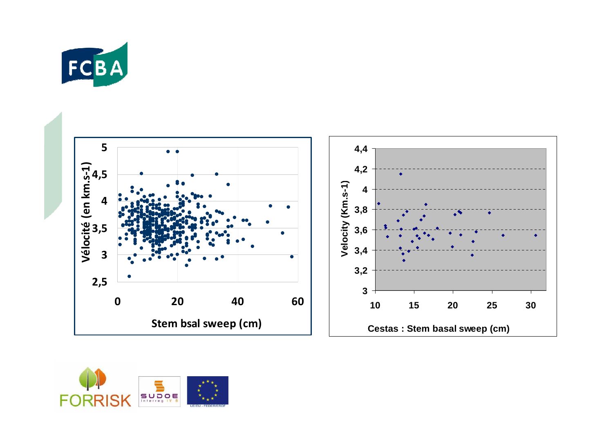